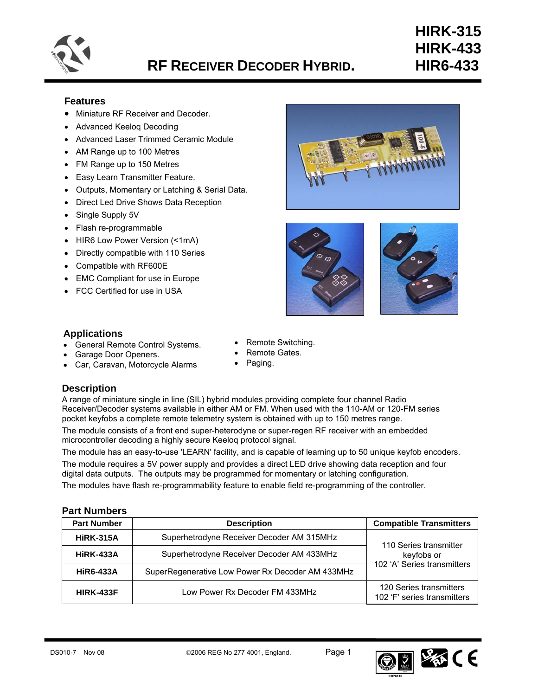

# **RF RECEIVER DECODER HYBRID. HIR6-433**

# **HIRK-315 HIRK-433**

## **Features**

- Miniature RF Receiver and Decoder.
- Advanced Keeloq Decoding
- Advanced Laser Trimmed Ceramic Module
- AM Range up to 100 Metres
- FM Range up to 150 Metres
- Easy Learn Transmitter Feature.
- Outputs, Momentary or Latching & Serial Data.
- Direct Led Drive Shows Data Reception
- Single Supply 5V
- Flash re-programmable
- HIR6 Low Power Version (<1mA)
- Directly compatible with 110 Series
- Compatible with RF600E
- **EMC Compliant for use in Europe**
- FCC Certified for use in USA







## **Applications**

- General Remote Control Systems.
- Garage Door Openers.
- Car, Caravan, Motorcycle Alarms
- Remote Switching.
	- Remote Gates.
- Paging.

## **Description**

A range of miniature single in line (SIL) hybrid modules providing complete four channel Radio Receiver/Decoder systems available in either AM or FM. When used with the 110-AM or 120-FM series pocket keyfobs a complete remote telemetry system is obtained with up to 150 metres range.

The module consists of a front end super-heterodyne or super-regen RF receiver with an embedded microcontroller decoding a highly secure Keeloq protocol signal.

The module has an easy-to-use 'LEARN' facility, and is capable of learning up to 50 unique keyfob encoders.

The module requires a 5V power supply and provides a direct LED drive showing data reception and four digital data outputs. The outputs may be programmed for momentary or latching configuration.

The modules have flash re-programmability feature to enable field re-programming of the controller.

## **Part Numbers**

| <b>Part Number</b>                                            | <b>Description</b>                               | <b>Compatible Transmitters</b>                         |  |  |
|---------------------------------------------------------------|--------------------------------------------------|--------------------------------------------------------|--|--|
| <b>HIRK-315A</b>                                              | Superhetrodyne Receiver Decoder AM 315MHz        | 110 Series transmitter                                 |  |  |
| Superhetrodyne Receiver Decoder AM 433MHz<br><b>HIRK-433A</b> |                                                  | keyfobs or<br>102 'A' Series transmitters              |  |  |
| <b>HiR6-433A</b>                                              | SuperRegenerative Low Power Rx Decoder AM 433MHz |                                                        |  |  |
| <b>HIRK-433F</b>                                              | Low Power Rx Decoder FM 433MHz                   | 120 Series transmitters<br>102 'F' series transmitters |  |  |

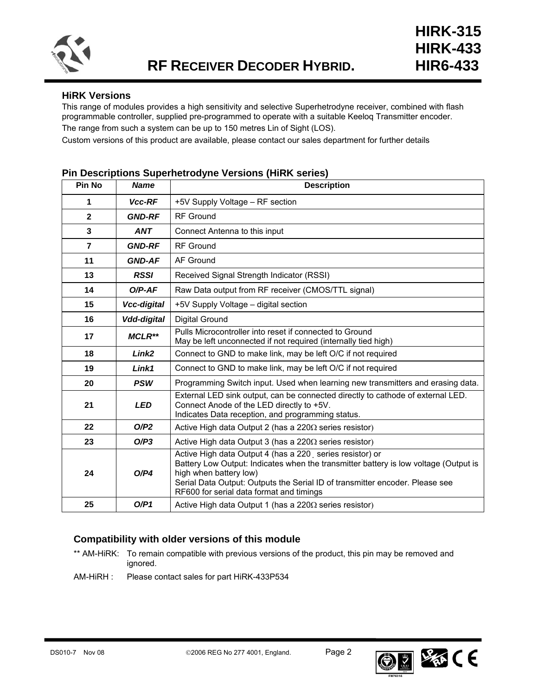

## **HiRK Versions**

This range of modules provides a high sensitivity and selective Superhetrodyne receiver, combined with flash programmable controller, supplied pre-programmed to operate with a suitable Keeloq Transmitter encoder. The range from such a system can be up to 150 metres Lin of Sight (LOS).

Custom versions of this product are available, please contact our sales department for further details

## **Pin Descriptions Superhetrodyne Versions (HiRK series)**

| Pin No         | <b>Name</b>        | <b>Description</b>                                                                                                                                                                                                                                                                                     |
|----------------|--------------------|--------------------------------------------------------------------------------------------------------------------------------------------------------------------------------------------------------------------------------------------------------------------------------------------------------|
| 1              | Vcc-RF             | +5V Supply Voltage - RF section                                                                                                                                                                                                                                                                        |
| $\mathbf{2}$   | <b>GND-RF</b>      | <b>RF</b> Ground                                                                                                                                                                                                                                                                                       |
| 3              | <b>ANT</b>         | Connect Antenna to this input                                                                                                                                                                                                                                                                          |
| $\overline{7}$ | <b>GND-RF</b>      | <b>RF</b> Ground                                                                                                                                                                                                                                                                                       |
| 11             | <b>GND-AF</b>      | AF Ground                                                                                                                                                                                                                                                                                              |
| 13             | <b>RSSI</b>        | Received Signal Strength Indicator (RSSI)                                                                                                                                                                                                                                                              |
| 14             | $O/P-AF$           | Raw Data output from RF receiver (CMOS/TTL signal)                                                                                                                                                                                                                                                     |
| 15             | Vcc-digital        | +5V Supply Voltage - digital section                                                                                                                                                                                                                                                                   |
| 16             | <b>Vdd-digital</b> | <b>Digital Ground</b>                                                                                                                                                                                                                                                                                  |
| 17             | <b>MCLR**</b>      | Pulls Microcontroller into reset if connected to Ground<br>May be left unconnected if not required (internally tied high)                                                                                                                                                                              |
| 18             | Link <sub>2</sub>  | Connect to GND to make link, may be left O/C if not required                                                                                                                                                                                                                                           |
| 19             | Link1              | Connect to GND to make link, may be left O/C if not required                                                                                                                                                                                                                                           |
| 20             | <b>PSW</b>         | Programming Switch input. Used when learning new transmitters and erasing data.                                                                                                                                                                                                                        |
| 21             | <b>LED</b>         | External LED sink output, can be connected directly to cathode of external LED.<br>Connect Anode of the LED directly to +5V.<br>Indicates Data reception, and programming status.                                                                                                                      |
| 22             | O/P2               | Active High data Output 2 (has a $220\Omega$ series resistor)                                                                                                                                                                                                                                          |
| 23             | O/P3               | Active High data Output 3 (has a $220\Omega$ series resistor)                                                                                                                                                                                                                                          |
| 24             | O/P4               | Active High data Output 4 (has a 220 series resistor) or<br>Battery Low Output: Indicates when the transmitter battery is low voltage (Output is<br>high when battery low)<br>Serial Data Output: Outputs the Serial ID of transmitter encoder. Please see<br>RF600 for serial data format and timings |
| 25             | O/P1               | Active High data Output 1 (has a $220\Omega$ series resistor)                                                                                                                                                                                                                                          |

## **Compatibility with older versions of this module**

- \*\* AM-HiRK: To remain compatible with previous versions of the product, this pin may be removed and ignored.
- AM-HiRH : Please contact sales for part HiRK-433P534

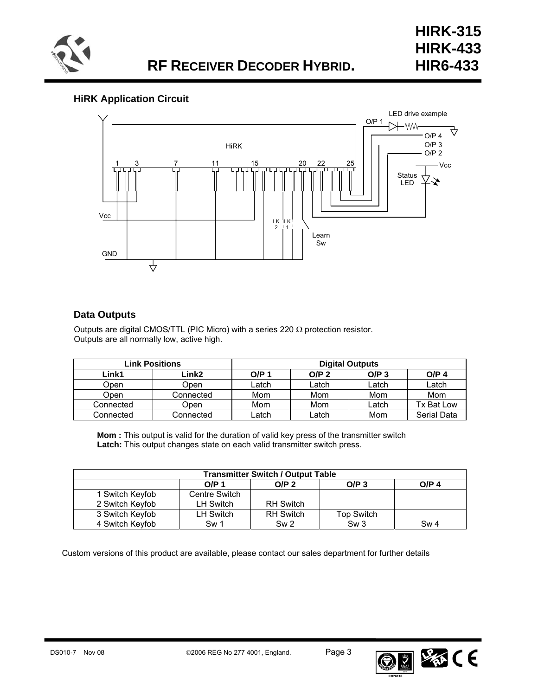

## **HiRK Application Circuit**



## **Data Outputs**

Outputs are digital CMOS/TTL (PIC Micro) with a series 220  $\Omega$  protection resistor. Outputs are all normally low, active high.

|           | <b>Link Positions</b> | <b>Digital Outputs</b> |                  |         |                  |  |
|-----------|-----------------------|------------------------|------------------|---------|------------------|--|
| Link1     | Link2                 | O/P 1                  | O/P <sub>2</sub> | $O/P_3$ | O/P <sub>4</sub> |  |
| Open      | Open                  | Latch                  | Latch            | Latch   | Latch            |  |
| Open      | Connected             | Mom                    | Mom              | Mom     | Mom              |  |
| Connected | Open                  | Mom                    | Mom              | ∟atch   | Tx Bat Low       |  |
| Connected | Connected             | Latch                  | _atch            | Mom     | Serial Data      |  |

**Mom :** This output is valid for the duration of valid key press of the transmitter switch Latch: This output changes state on each valid transmitter switch press.

| <b>Transmitter Switch / Output Table</b>                            |                  |                  |            |      |  |  |  |
|---------------------------------------------------------------------|------------------|------------------|------------|------|--|--|--|
| O/P <sub>2</sub><br>O/P <sub>1</sub><br>$O/P_3$<br>O/P <sub>4</sub> |                  |                  |            |      |  |  |  |
| 1 Switch Keyfob                                                     | Centre Switch    |                  |            |      |  |  |  |
| 2 Switch Keyfob                                                     | <b>LH Switch</b> | <b>RH Switch</b> |            |      |  |  |  |
| 3 Switch Keyfob                                                     | LH Switch        | <b>RH Switch</b> | Top Switch |      |  |  |  |
| 4 Switch Keyfob                                                     | Sw <sub>1</sub>  | Sw <sub>2</sub>  | Sw3        | Sw 4 |  |  |  |

Custom versions of this product are available, please contact our sales department for further details



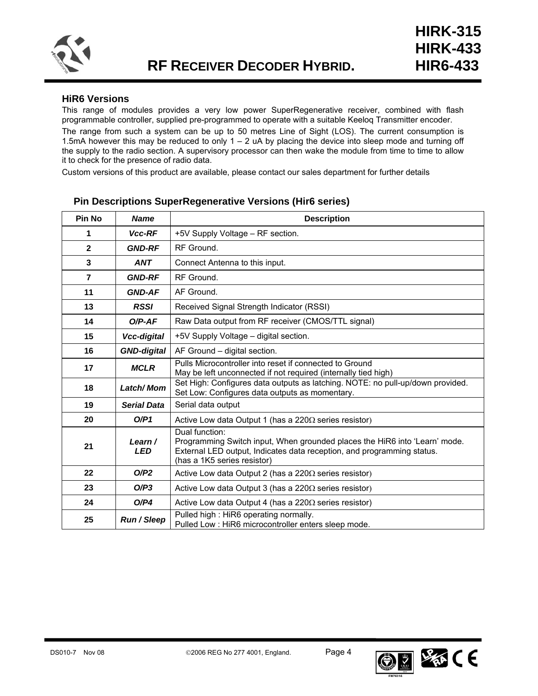

## **HiR6 Versions**

This range of modules provides a very low power SuperRegenerative receiver, combined with flash programmable controller, supplied pre-programmed to operate with a suitable Keeloq Transmitter encoder.

The range from such a system can be up to 50 metres Line of Sight (LOS). The current consumption is 1.5mA however this may be reduced to only  $1 - 2$  uA by placing the device into sleep mode and turning off the supply to the radio section. A supervisory processor can then wake the module from time to time to allow it to check for the presence of radio data.

Custom versions of this product are available, please contact our sales department for further details

| Pin No         | <b>Name</b>           | <b>Description</b>                                                                                                                                                                                    |
|----------------|-----------------------|-------------------------------------------------------------------------------------------------------------------------------------------------------------------------------------------------------|
| 1              | Vcc-RF                | +5V Supply Voltage - RF section.                                                                                                                                                                      |
| $\mathbf{2}$   | <b>GND-RF</b>         | RF Ground.                                                                                                                                                                                            |
| 3              | <b>ANT</b>            | Connect Antenna to this input.                                                                                                                                                                        |
| $\overline{7}$ | <b>GND-RF</b>         | RF Ground.                                                                                                                                                                                            |
| 11             | <b>GND-AF</b>         | AF Ground.                                                                                                                                                                                            |
| 13             | <b>RSSI</b>           | Received Signal Strength Indicator (RSSI)                                                                                                                                                             |
| 14             | $O/P-AF$              | Raw Data output from RF receiver (CMOS/TTL signal)                                                                                                                                                    |
| 15             | Vcc-digital           | +5V Supply Voltage - digital section.                                                                                                                                                                 |
| 16             | <b>GND-digital</b>    | AF Ground - digital section.                                                                                                                                                                          |
| 17             | <b>MCLR</b>           | Pulls Microcontroller into reset if connected to Ground<br>May be left unconnected if not required (internally tied high)                                                                             |
| 18             | Latch/Mom             | Set High: Configures data outputs as latching. NOTE: no pull-up/down provided.<br>Set Low: Configures data outputs as momentary.                                                                      |
| 19             | <b>Serial Data</b>    | Serial data output                                                                                                                                                                                    |
| 20             | O/P1                  | Active Low data Output 1 (has a 220 $\Omega$ series resistor)                                                                                                                                         |
| 21             | Learn /<br><b>LED</b> | Dual function:<br>Programming Switch input, When grounded places the HiR6 into 'Learn' mode.<br>External LED output, Indicates data reception, and programming status.<br>(has a 1K5 series resistor) |
| 22             | O/P2                  | Active Low data Output 2 (has a $220\Omega$ series resistor)                                                                                                                                          |
| 23             | O/P3                  | Active Low data Output 3 (has a $220\Omega$ series resistor)                                                                                                                                          |
| 24             | O/P4                  | Active Low data Output 4 (has a $220\Omega$ series resistor)                                                                                                                                          |
| 25             | Run / Sleep           | Pulled high: HiR6 operating normally.<br>Pulled Low : HiR6 microcontroller enters sleep mode.                                                                                                         |

## **Pin Descriptions SuperRegenerative Versions (Hir6 series)**

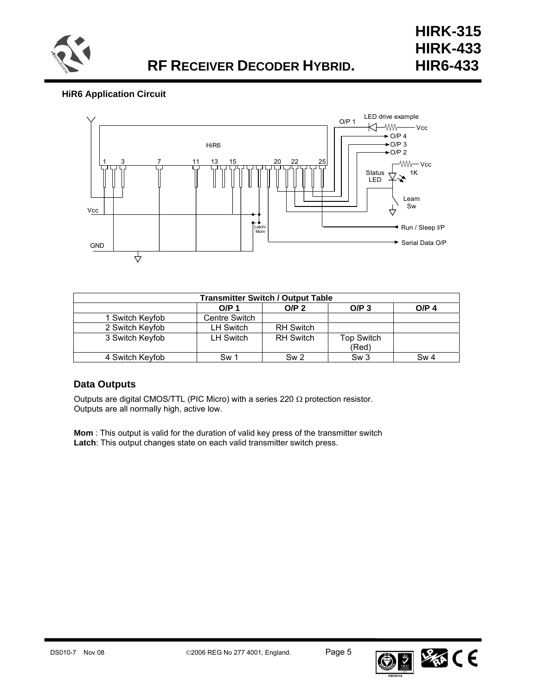

## **HiR6 Application Circuit**



| <b>Transmitter Switch / Output Table</b>                                     |                  |                  |                   |                 |  |  |  |
|------------------------------------------------------------------------------|------------------|------------------|-------------------|-----------------|--|--|--|
| O/P <sub>2</sub><br>O/P <sub>4</sub><br>O/P <sub>1</sub><br>O/P <sub>3</sub> |                  |                  |                   |                 |  |  |  |
| 1 Switch Keyfob                                                              | Centre Switch    |                  |                   |                 |  |  |  |
| 2 Switch Keyfob                                                              | LH Switch        | <b>RH Switch</b> |                   |                 |  |  |  |
| 3 Switch Keyfob                                                              | <b>LH Switch</b> | <b>RH Switch</b> | <b>Top Switch</b> |                 |  |  |  |
| (Red)                                                                        |                  |                  |                   |                 |  |  |  |
| 4 Switch Keyfob                                                              | Sw 1             | Sw <sub>2</sub>  | Sw3               | Sw <sub>4</sub> |  |  |  |

## **Data Outputs**

Outputs are digital CMOS/TTL (PIC Micro) with a series 220  $\Omega$  protection resistor. Outputs are all normally high, active low.

**Mom** : This output is valid for the duration of valid key press of the transmitter switch **Latch**: This output changes state on each valid transmitter switch press.

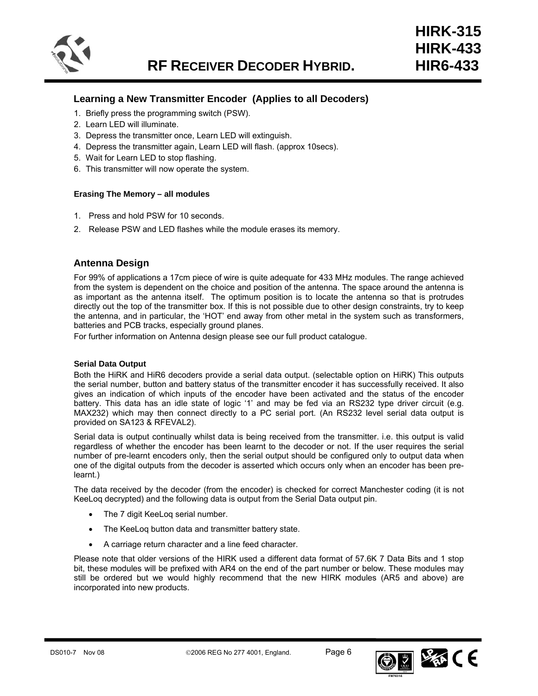

## **Learning a New Transmitter Encoder (Applies to all Decoders)**

- 1. Briefly press the programming switch (PSW).
- 2. Learn LED will illuminate.
- 3. Depress the transmitter once, Learn LED will extinguish.
- 4. Depress the transmitter again, Learn LED will flash. (approx 10secs).
- 5. Wait for Learn LED to stop flashing.
- 6. This transmitter will now operate the system.

#### **Erasing The Memory – all modules**

- 1. Press and hold PSW for 10 seconds.
- 2. Release PSW and LED flashes while the module erases its memory.

## **Antenna Design**

For 99% of applications a 17cm piece of wire is quite adequate for 433 MHz modules. The range achieved from the system is dependent on the choice and position of the antenna. The space around the antenna is as important as the antenna itself. The optimum position is to locate the antenna so that is protrudes directly out the top of the transmitter box. If this is not possible due to other design constraints, try to keep the antenna, and in particular, the 'HOT' end away from other metal in the system such as transformers, batteries and PCB tracks, especially ground planes.

For further information on Antenna design please see our full product catalogue.

#### **Serial Data Output**

Both the HiRK and HiR6 decoders provide a serial data output. (selectable option on HiRK) This outputs the serial number, button and battery status of the transmitter encoder it has successfully received. It also gives an indication of which inputs of the encoder have been activated and the status of the encoder battery. This data has an idle state of logic '1' and may be fed via an RS232 type driver circuit (e.g. MAX232) which may then connect directly to a PC serial port. (An RS232 level serial data output is provided on SA123 & RFEVAL2).

Serial data is output continually whilst data is being received from the transmitter. i.e. this output is valid regardless of whether the encoder has been learnt to the decoder or not. If the user requires the serial number of pre-learnt encoders only, then the serial output should be configured only to output data when one of the digital outputs from the decoder is asserted which occurs only when an encoder has been prelearnt.)

The data received by the decoder (from the encoder) is checked for correct Manchester coding (it is not KeeLoq decrypted) and the following data is output from the Serial Data output pin.

- The 7 digit KeeLog serial number.
- The KeeLog button data and transmitter battery state.
- A carriage return character and a line feed character.

Please note that older versions of the HIRK used a different data format of 57.6K 7 Data Bits and 1 stop bit, these modules will be prefixed with AR4 on the end of the part number or below. These modules may still be ordered but we would highly recommend that the new HIRK modules (AR5 and above) are incorporated into new products.

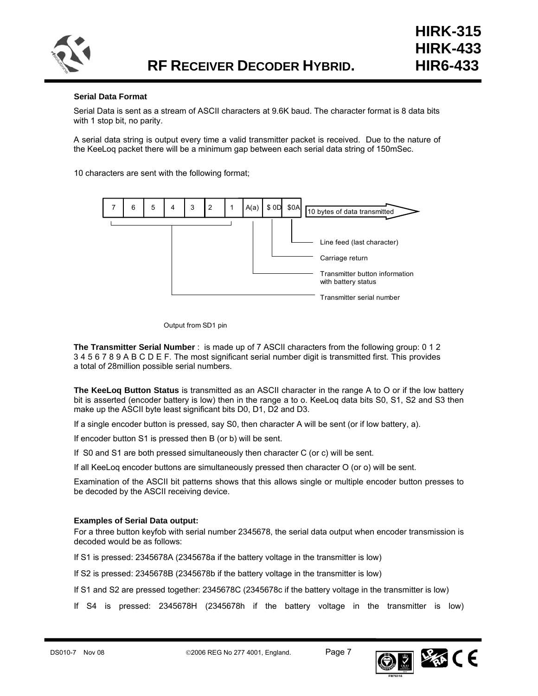

#### **Serial Data Format**

Serial Data is sent as a stream of ASCII characters at 9.6K baud. The character format is 8 data bits with 1 stop bit, no parity.

A serial data string is output every time a valid transmitter packet is received. Due to the nature of the KeeLoq packet there will be a minimum gap between each serial data string of 150mSec.

10 characters are sent with the following format;



#### Output from SD1 pin

**The Transmitter Serial Number** : is made up of 7 ASCII characters from the following group: 0 1 2 3 4 5 6 7 8 9 A B C D E F. The most significant serial number digit is transmitted first. This provides a total of 28million possible serial numbers.

**The KeeLoq Button Status** is transmitted as an ASCII character in the range A to O or if the low battery bit is asserted (encoder battery is low) then in the range a to o. KeeLoq data bits S0, S1, S2 and S3 then make up the ASCII byte least significant bits D0, D1, D2 and D3.

If a single encoder button is pressed, say S0, then character A will be sent (or if low battery, a).

If encoder button S1 is pressed then B (or b) will be sent.

If S0 and S1 are both pressed simultaneously then character C (or c) will be sent.

If all KeeLoq encoder buttons are simultaneously pressed then character O (or o) will be sent.

Examination of the ASCII bit patterns shows that this allows single or multiple encoder button presses to be decoded by the ASCII receiving device.

#### **Examples of Serial Data output:**

For a three button keyfob with serial number 2345678, the serial data output when encoder transmission is decoded would be as follows:

If S1 is pressed: 2345678A (2345678a if the battery voltage in the transmitter is low)

If S2 is pressed: 2345678B (2345678b if the battery voltage in the transmitter is low)

If S1 and S2 are pressed together: 2345678C (2345678c if the battery voltage in the transmitter is low)

If S4 is pressed: 2345678H (2345678h if the battery voltage in the transmitter is low)

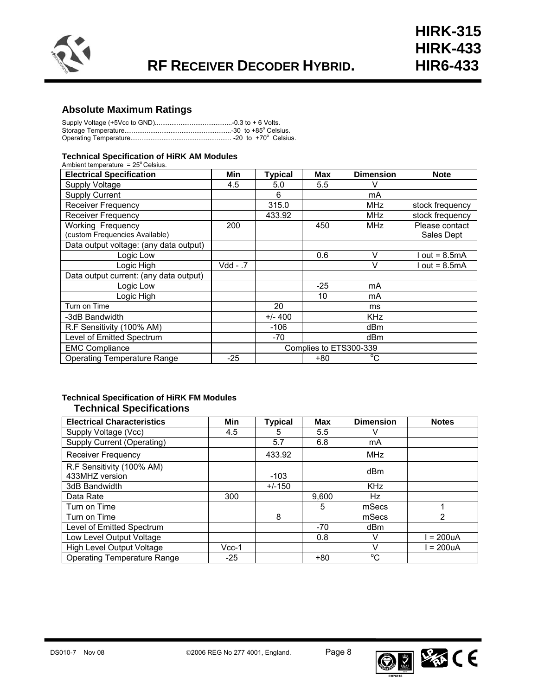

## **Absolute Maximum Ratings**

#### **Technical Specification of HiRK AM Modules**

| Ambient temperature = $25^{\circ}$ Celsius. |          |                |                        |                  |                 |
|---------------------------------------------|----------|----------------|------------------------|------------------|-----------------|
| <b>Electrical Specification</b>             | Min      | <b>Typical</b> | <b>Max</b>             | <b>Dimension</b> | <b>Note</b>     |
| Supply Voltage                              | 4.5      | 5.0            | 5.5                    | V                |                 |
| <b>Supply Current</b>                       |          | 6              |                        | mA               |                 |
| <b>Receiver Frequency</b>                   |          | 315.0          |                        | <b>MHz</b>       | stock frequency |
| <b>Receiver Frequency</b>                   |          | 433.92         |                        | <b>MHz</b>       | stock frequency |
| <b>Working Frequency</b>                    | 200      |                | 450                    | <b>MHz</b>       | Please contact  |
| (custom Frequencies Available)              |          |                |                        |                  | Sales Dept      |
| Data output voltage: (any data output)      |          |                |                        |                  |                 |
| Logic Low                                   |          |                | 0.6                    | V                | out = $8.5mA$   |
| Logic High                                  | Vdd - .7 |                |                        | V                | $out = 8.5mA$   |
| Data output current: (any data output)      |          |                |                        |                  |                 |
| Logic Low                                   |          |                | $-25$                  | mA               |                 |
| Logic High                                  |          |                | 10                     | mA               |                 |
| Turn on Time                                |          | 20             |                        | ms               |                 |
| -3dB Bandwidth                              |          | $+/- 400$      |                        | <b>KHz</b>       |                 |
| R.F Sensitivity (100% AM)                   |          | -106           |                        | dBm              |                 |
| Level of Emitted Spectrum                   |          | -70            |                        | dBm              |                 |
| <b>EMC Compliance</b>                       |          |                | Complies to ETS300-339 |                  |                 |
| <b>Operating Temperature Range</b>          | $-25$    |                | +80                    | $^{\circ}$ C     |                 |

## **Technical Specification of HiRK FM Modules Technical Specifications**

| <b>Electrical Characteristics</b>           | Min     | <b>Typical</b> | <b>Max</b> | <b>Dimension</b> | <b>Notes</b>   |
|---------------------------------------------|---------|----------------|------------|------------------|----------------|
| Supply Voltage (Vcc)                        | 4.5     | 5              | 5.5        | v                |                |
| Supply Current (Operating)                  |         | 5.7            | 6.8        | mA               |                |
| <b>Receiver Frequency</b>                   |         | 433.92         |            | <b>MHz</b>       |                |
| R.F Sensitivity (100% AM)<br>433MHZ version |         | $-103$         |            | dBm              |                |
| 3dB Bandwidth                               |         | $+/-150$       |            | <b>KHz</b>       |                |
| Data Rate                                   | 300     |                | 9.600      | Hz               |                |
| Turn on Time                                |         |                | 5          | mSecs            |                |
| Turn on Time                                |         | 8              |            | mSecs            | $\overline{2}$ |
| Level of Emitted Spectrum                   |         |                | -70        | dBm              |                |
| Low Level Output Voltage                    |         |                | 0.8        | v                | $= 200uA$      |
| High Level Output Voltage                   | $Vcc-1$ |                |            | V                | $= 200uA$      |
| <b>Operating Temperature Range</b>          | $-25$   |                | $+80$      | $\overline{C}$   |                |

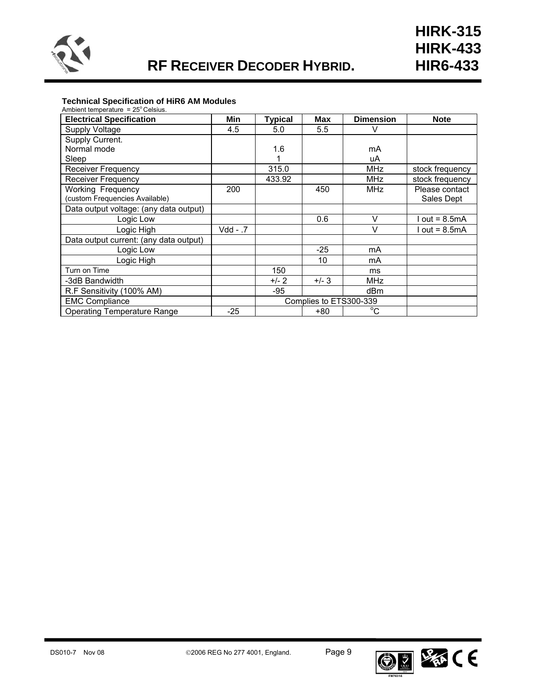

## **Technical Specification of HiR6 AM Modules**

| Ambient temperature = $25^{\circ}$ Celsius. |          |                |                        |                  |                 |
|---------------------------------------------|----------|----------------|------------------------|------------------|-----------------|
| <b>Electrical Specification</b>             | Min      | <b>Typical</b> | Max                    | <b>Dimension</b> | <b>Note</b>     |
| Supply Voltage                              | 4.5      | 5.0            | 5.5                    | V                |                 |
| Supply Current.                             |          |                |                        |                  |                 |
| Normal mode                                 |          | 1.6            |                        | mA               |                 |
| Sleep                                       |          |                |                        | uA               |                 |
| <b>Receiver Frequency</b>                   |          | 315.0          |                        | <b>MHz</b>       | stock frequency |
| <b>Receiver Frequency</b>                   |          | 433.92         |                        | <b>MHz</b>       | stock frequency |
| Working Frequency                           | 200      |                | 450                    | <b>MHz</b>       | Please contact  |
| (custom Frequencies Available)              |          |                |                        |                  | Sales Dept      |
| Data output voltage: (any data output)      |          |                |                        |                  |                 |
| Logic Low                                   |          |                | 0.6                    | $\vee$           | $I out = 8.5mA$ |
| Logic High                                  | 7. - Vdd |                |                        | $\vee$           | l out = 8.5mA   |
| Data output current: (any data output)      |          |                |                        |                  |                 |
| Logic Low                                   |          |                | $-25$                  | mA               |                 |
| Logic High                                  |          |                | 10                     | mA               |                 |
| Turn on Time                                |          | 150            |                        | ms               |                 |
| -3dB Bandwidth                              |          | $+/- 2$        | $+/-3$                 | <b>MHz</b>       |                 |
| R.F Sensitivity (100% AM)                   |          | $-95$          |                        | dBm              |                 |
| <b>EMC Compliance</b>                       |          |                | Complies to ETS300-339 |                  |                 |
| Operating Temperature Range                 | $-25$    |                | $+80$                  | $^{\circ}$ C     |                 |